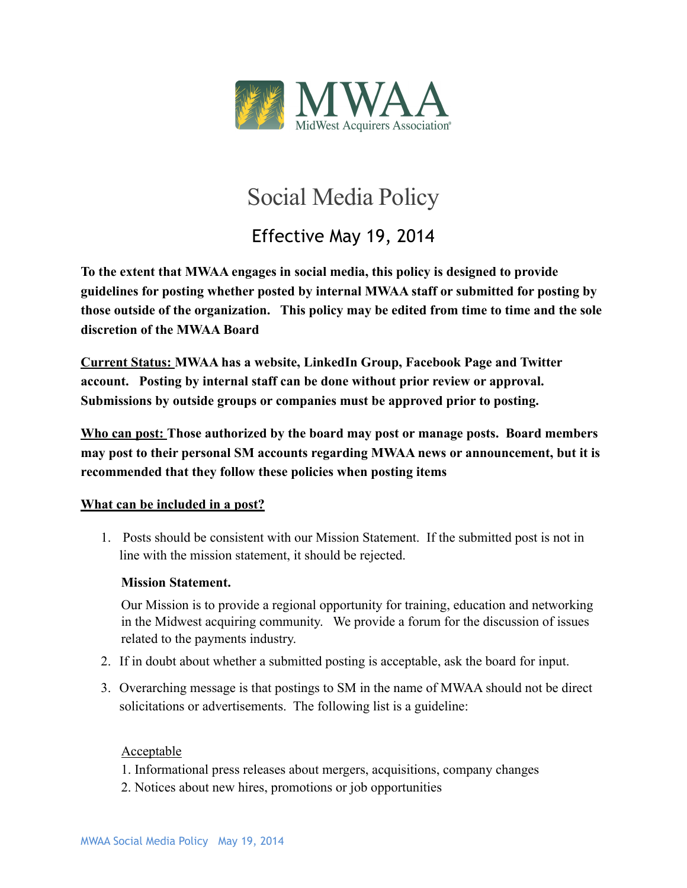

# Social Media Policy

Effective May 19, 2014

**To the extent that MWAA engages in social media, this policy is designed to provide guidelines for posting whether posted by internal MWAA staff or submitted for posting by those outside of the organization. This policy may be edited from time to time and the sole discretion of the MWAA Board**

**Current Status: MWAA has a website, LinkedIn Group, Facebook Page and Twitter account. Posting by internal staff can be done without prior review or approval. Submissions by outside groups or companies must be approved prior to posting.** 

**Who can post: Those authorized by the board may post or manage posts. Board members may post to their personal SM accounts regarding MWAA news or announcement, but it is recommended that they follow these policies when posting items** 

### **What can be included in a post?**

1. Posts should be consistent with our Mission Statement. If the submitted post is not in line with the mission statement, it should be rejected.

#### **Mission Statement.**

Our Mission is to provide a regional opportunity for training, education and networking in the Midwest acquiring community. We provide a forum for the discussion of issues related to the payments industry.

- 2. If in doubt about whether a submitted posting is acceptable, ask the board for input.
- 3. Overarching message is that postings to SM in the name of MWAA should not be direct solicitations or advertisements. The following list is a guideline:

#### **Acceptable**

- 1. Informational press releases about mergers, acquisitions, company changes
- 2. Notices about new hires, promotions or job opportunities